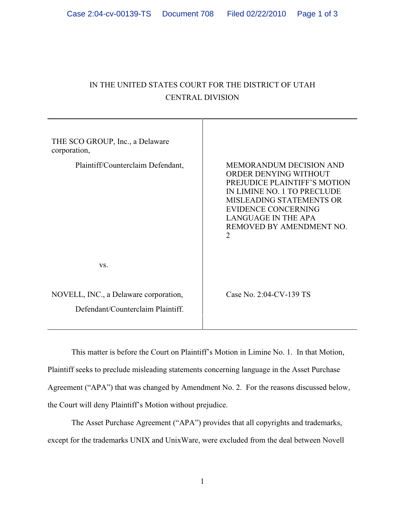## IN THE UNITED STATES COURT FOR THE DISTRICT OF UTAH CENTRAL DIVISION

| THE SCO GROUP, Inc., a Delaware<br>corporation,                            |                                                                                                                                                                                                                                                        |
|----------------------------------------------------------------------------|--------------------------------------------------------------------------------------------------------------------------------------------------------------------------------------------------------------------------------------------------------|
| Plaintiff/Counterclaim Defendant,                                          | <b>MEMORANDUM DECISION AND</b><br>ORDER DENYING WITHOUT<br><b>PREJUDICE PLAINTIFF'S MOTION</b><br>IN LIMINE NO. 1 TO PRECLUDE<br>MISLEADING STATEMENTS OR<br><b>EVIDENCE CONCERNING</b><br><b>LANGUAGE IN THE APA</b><br>REMOVED BY AMENDMENT NO.<br>2 |
| VS.                                                                        |                                                                                                                                                                                                                                                        |
| NOVELL, INC., a Delaware corporation,<br>Defendant/Counterclaim Plaintiff. | Case No. 2:04-CV-139 TS                                                                                                                                                                                                                                |

This matter is before the Court on Plaintiff's Motion in Limine No. 1. In that Motion, Plaintiff seeks to preclude misleading statements concerning language in the Asset Purchase Agreement ("APA") that was changed by Amendment No. 2. For the reasons discussed below, the Court will deny Plaintiff's Motion without prejudice.

The Asset Purchase Agreement ("APA") provides that all copyrights and trademarks, except for the trademarks UNIX and UnixWare, were excluded from the deal between Novell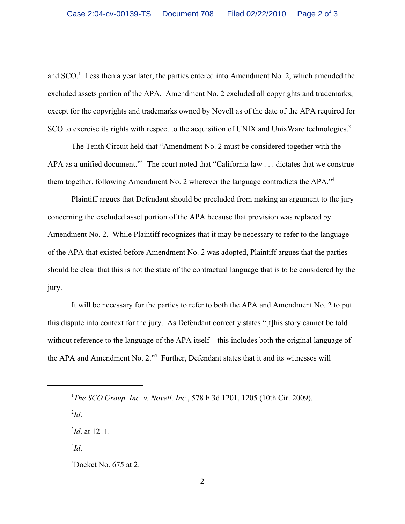and  $SCO<sup>1</sup>$  Less then a year later, the parties entered into Amendment No. 2, which amended the excluded assets portion of the APA. Amendment No. 2 excluded all copyrights and trademarks, except for the copyrights and trademarks owned by Novell as of the date of the APA required for SCO to exercise its rights with respect to the acquisition of UNIX and UnixWare technologies.<sup>2</sup>

The Tenth Circuit held that "Amendment No. 2 must be considered together with the APA as a unified document."<sup>3</sup> The court noted that "California law . . . dictates that we construe them together, following Amendment No. 2 wherever the language contradicts the APA."<sup>4</sup>

Plaintiff argues that Defendant should be precluded from making an argument to the jury concerning the excluded asset portion of the APA because that provision was replaced by Amendment No. 2. While Plaintiff recognizes that it may be necessary to refer to the language of the APA that existed before Amendment No. 2 was adopted, Plaintiff argues that the parties should be clear that this is not the state of the contractual language that is to be considered by the jury.

It will be necessary for the parties to refer to both the APA and Amendment No. 2 to put this dispute into context for the jury. As Defendant correctly states "[t]his story cannot be told without reference to the language of the APA itself—this includes both the original language of the APA and Amendment No. 2."<sup>5</sup> Further, Defendant states that it and its witnesses will

 $\mathbf{I}d$ .

 $^{3}$ *Id.* at 1211.

 $^{4}Id.$ 

<sup>&</sup>lt;sup>1</sup>The SCO Group, Inc. v. Novell, Inc., 578 F.3d 1201, 1205 (10th Cir. 2009).

 ${}^{5}$ Docket No. 675 at 2.